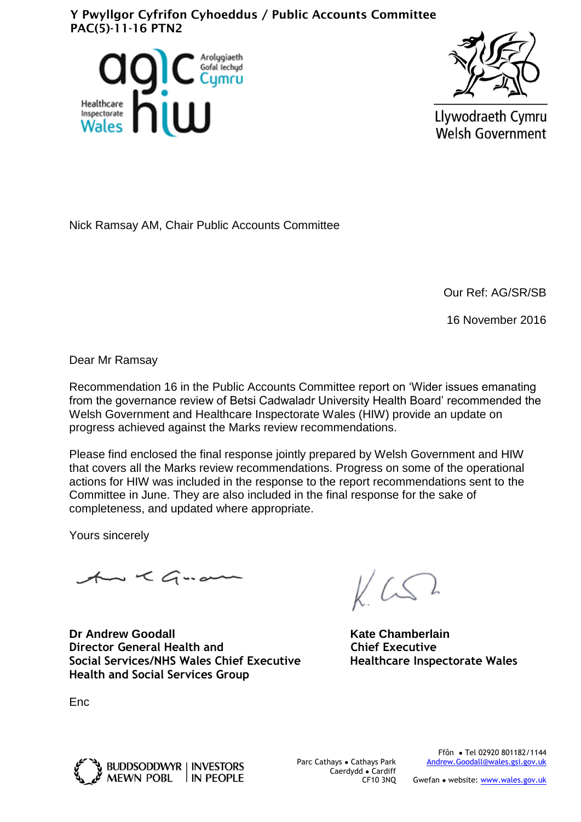## Y Pwyllgor Cyfrifon Cyhoeddus / Public Accounts Committee PAC(5)-11-16 PTN2





Llywodraeth Cymru **Welsh Government** 

Nick Ramsay AM, Chair Public Accounts Committee

Our Ref: AG/SR/SB

16 November 2016

Dear Mr Ramsay

Recommendation 16 in the Public Accounts Committee report on 'Wider issues emanating from the governance review of Betsi Cadwaladr University Health Board' recommended the Welsh Government and Healthcare Inspectorate Wales (HIW) provide an update on progress achieved against the Marks review recommendations.

Please find enclosed the final response jointly prepared by Welsh Government and HIW that covers all the Marks review recommendations. Progress on some of the operational actions for HIW was included in the response to the report recommendations sent to the Committee in June. They are also included in the final response for the sake of completeness, and updated where appropriate.

Yours sincerely

An < Guan

**Dr Andrew Goodall Community Community Community Community Community Community Community Community Community Community Community Community Community Community Community Community Community Community Community Community Com Director General Health and Chief Executive Social Services/NHS Wales Chief Executive Healthcare Inspectorate Wales Health and Social Services Group**

Enc



Parc Cathays ● Cathays Park Caerdydd ● Cardiff CF10 3NQ

Ffôn ● Tel 02920 801182/1144 [Andrew.Goodall@wales.gsi.gov.uk](mailto:Simon.Dean@wales.gsi.gov.uk)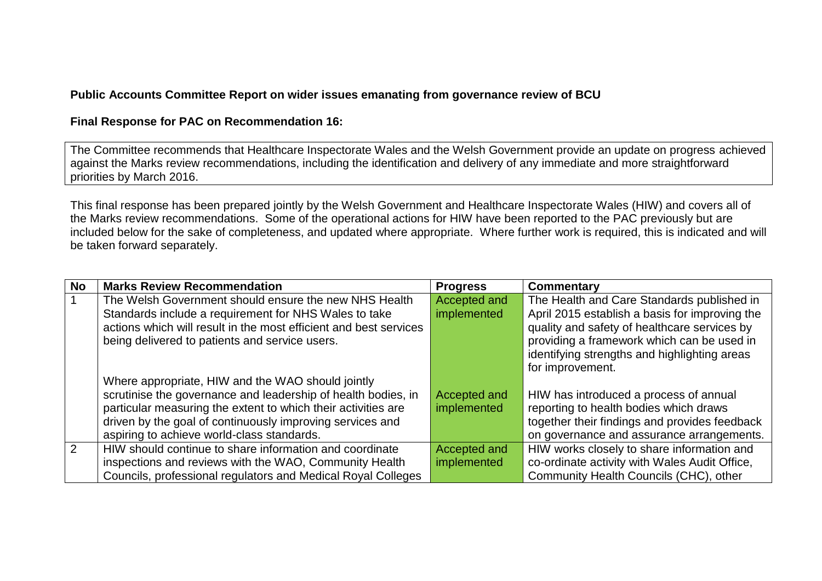## **Public Accounts Committee Report on wider issues emanating from governance review of BCU**

## **Final Response for PAC on Recommendation 16:**

The Committee recommends that Healthcare Inspectorate Wales and the Welsh Government provide an update on progress achieved against the Marks review recommendations, including the identification and delivery of any immediate and more straightforward priorities by March 2016.

This final response has been prepared jointly by the Welsh Government and Healthcare Inspectorate Wales (HIW) and covers all of the Marks review recommendations. Some of the operational actions for HIW have been reported to the PAC previously but are included below for the sake of completeness, and updated where appropriate. Where further work is required, this is indicated and will be taken forward separately.

| <b>No</b>     | <b>Marks Review Recommendation</b>                                | <b>Progress</b> | Commentary                                     |
|---------------|-------------------------------------------------------------------|-----------------|------------------------------------------------|
|               | The Welsh Government should ensure the new NHS Health             | Accepted and    | The Health and Care Standards published in     |
|               | Standards include a requirement for NHS Wales to take             | implemented     | April 2015 establish a basis for improving the |
|               | actions which will result in the most efficient and best services |                 | quality and safety of healthcare services by   |
|               | being delivered to patients and service users.                    |                 | providing a framework which can be used in     |
|               |                                                                   |                 | identifying strengths and highlighting areas   |
|               |                                                                   |                 | for improvement.                               |
|               | Where appropriate, HIW and the WAO should jointly                 |                 |                                                |
|               | scrutinise the governance and leadership of health bodies, in     | Accepted and    | HIW has introduced a process of annual         |
|               | particular measuring the extent to which their activities are     | implemented     | reporting to health bodies which draws         |
|               | driven by the goal of continuously improving services and         |                 | together their findings and provides feedback  |
|               | aspiring to achieve world-class standards.                        |                 | on governance and assurance arrangements.      |
| $\mathcal{P}$ | HIW should continue to share information and coordinate           | Accepted and    | HIW works closely to share information and     |
|               | inspections and reviews with the WAO, Community Health            | implemented     | co-ordinate activity with Wales Audit Office,  |
|               | Councils, professional regulators and Medical Royal Colleges      |                 | Community Health Councils (CHC), other         |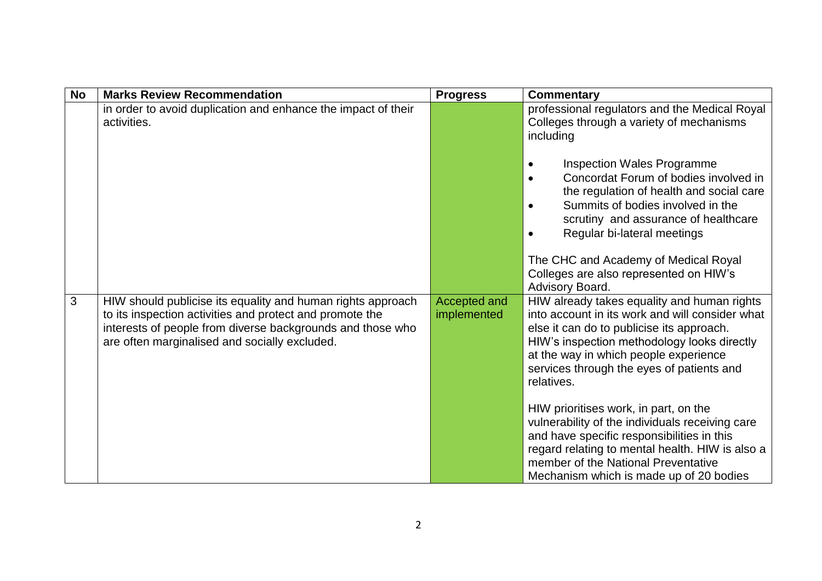| <b>No</b> | <b>Marks Review Recommendation</b>                                                                                                                                                                                                     | <b>Progress</b>             | Commentary                                                                                                                                                                                                                                                                                                                                     |
|-----------|----------------------------------------------------------------------------------------------------------------------------------------------------------------------------------------------------------------------------------------|-----------------------------|------------------------------------------------------------------------------------------------------------------------------------------------------------------------------------------------------------------------------------------------------------------------------------------------------------------------------------------------|
|           | in order to avoid duplication and enhance the impact of their<br>activities.                                                                                                                                                           |                             | professional regulators and the Medical Royal<br>Colleges through a variety of mechanisms<br>including                                                                                                                                                                                                                                         |
|           |                                                                                                                                                                                                                                        |                             | <b>Inspection Wales Programme</b><br>Concordat Forum of bodies involved in<br>$\bullet$<br>the regulation of health and social care<br>Summits of bodies involved in the<br>$\bullet$<br>scrutiny and assurance of healthcare<br>Regular bi-lateral meetings<br>The CHC and Academy of Medical Royal<br>Colleges are also represented on HIW's |
|           |                                                                                                                                                                                                                                        |                             | Advisory Board.                                                                                                                                                                                                                                                                                                                                |
| 3         | HIW should publicise its equality and human rights approach<br>to its inspection activities and protect and promote the<br>interests of people from diverse backgrounds and those who<br>are often marginalised and socially excluded. | Accepted and<br>implemented | HIW already takes equality and human rights<br>into account in its work and will consider what<br>else it can do to publicise its approach.<br>HIW's inspection methodology looks directly<br>at the way in which people experience<br>services through the eyes of patients and<br>relatives.                                                 |
|           |                                                                                                                                                                                                                                        |                             | HIW prioritises work, in part, on the<br>vulnerability of the individuals receiving care<br>and have specific responsibilities in this<br>regard relating to mental health. HIW is also a<br>member of the National Preventative<br>Mechanism which is made up of 20 bodies                                                                    |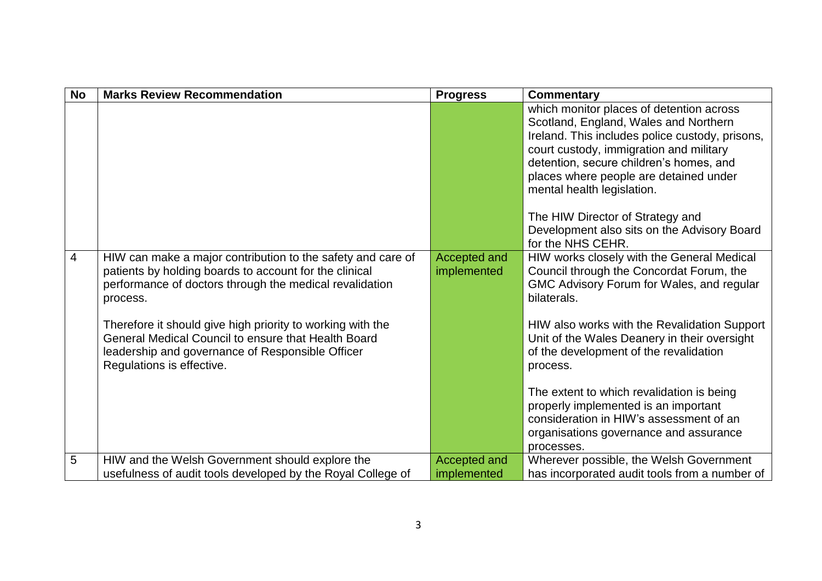| <b>No</b>      | <b>Marks Review Recommendation</b>                                                                                                                                                                 | <b>Progress</b>                    | <b>Commentary</b>                                                                                                                                                                                                                                                                                  |
|----------------|----------------------------------------------------------------------------------------------------------------------------------------------------------------------------------------------------|------------------------------------|----------------------------------------------------------------------------------------------------------------------------------------------------------------------------------------------------------------------------------------------------------------------------------------------------|
|                |                                                                                                                                                                                                    |                                    | which monitor places of detention across<br>Scotland, England, Wales and Northern<br>Ireland. This includes police custody, prisons,<br>court custody, immigration and military<br>detention, secure children's homes, and<br>places where people are detained under<br>mental health legislation. |
|                |                                                                                                                                                                                                    |                                    | The HIW Director of Strategy and<br>Development also sits on the Advisory Board<br>for the NHS CEHR.                                                                                                                                                                                               |
| $\overline{4}$ | HIW can make a major contribution to the safety and care of<br>patients by holding boards to account for the clinical<br>performance of doctors through the medical revalidation<br>process.       | <b>Accepted and</b><br>implemented | HIW works closely with the General Medical<br>Council through the Concordat Forum, the<br>GMC Advisory Forum for Wales, and regular<br>bilaterals.                                                                                                                                                 |
|                | Therefore it should give high priority to working with the<br>General Medical Council to ensure that Health Board<br>leadership and governance of Responsible Officer<br>Regulations is effective. |                                    | HIW also works with the Revalidation Support<br>Unit of the Wales Deanery in their oversight<br>of the development of the revalidation<br>process.                                                                                                                                                 |
|                |                                                                                                                                                                                                    |                                    | The extent to which revalidation is being<br>properly implemented is an important<br>consideration in HIW's assessment of an<br>organisations governance and assurance<br>processes.                                                                                                               |
| 5              | HIW and the Welsh Government should explore the                                                                                                                                                    | <b>Accepted and</b>                | Wherever possible, the Welsh Government                                                                                                                                                                                                                                                            |
|                | usefulness of audit tools developed by the Royal College of                                                                                                                                        | implemented                        | has incorporated audit tools from a number of                                                                                                                                                                                                                                                      |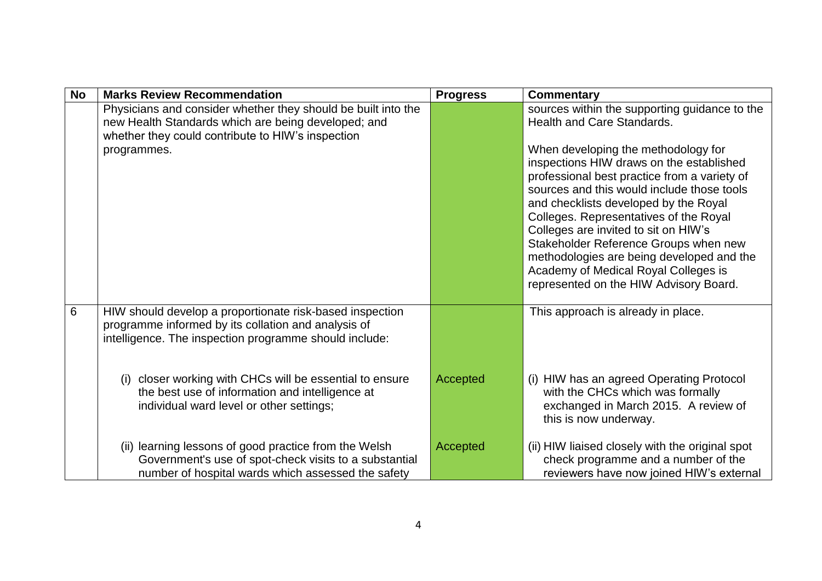| <b>No</b> | <b>Marks Review Recommendation</b>                                                                                                                                                       | <b>Progress</b> | Commentary                                                                                                                                                                                                                                                                                                                                             |
|-----------|------------------------------------------------------------------------------------------------------------------------------------------------------------------------------------------|-----------------|--------------------------------------------------------------------------------------------------------------------------------------------------------------------------------------------------------------------------------------------------------------------------------------------------------------------------------------------------------|
|           | Physicians and consider whether they should be built into the<br>new Health Standards which are being developed; and<br>whether they could contribute to HIW's inspection<br>programmes. |                 | sources within the supporting guidance to the<br><b>Health and Care Standards.</b><br>When developing the methodology for<br>inspections HIW draws on the established<br>professional best practice from a variety of<br>sources and this would include those tools<br>and checklists developed by the Royal<br>Colleges. Representatives of the Royal |
|           |                                                                                                                                                                                          |                 | Colleges are invited to sit on HIW's<br>Stakeholder Reference Groups when new<br>methodologies are being developed and the<br>Academy of Medical Royal Colleges is<br>represented on the HIW Advisory Board.                                                                                                                                           |
| 6         | HIW should develop a proportionate risk-based inspection<br>programme informed by its collation and analysis of<br>intelligence. The inspection programme should include:                |                 | This approach is already in place.                                                                                                                                                                                                                                                                                                                     |
|           | closer working with CHCs will be essential to ensure<br>(i)<br>the best use of information and intelligence at<br>individual ward level or other settings;                               | Accepted        | (i) HIW has an agreed Operating Protocol<br>with the CHCs which was formally<br>exchanged in March 2015. A review of<br>this is now underway.                                                                                                                                                                                                          |
|           | (ii) learning lessons of good practice from the Welsh<br>Government's use of spot-check visits to a substantial<br>number of hospital wards which assessed the safety                    | Accepted        | (ii) HIW liaised closely with the original spot<br>check programme and a number of the<br>reviewers have now joined HIW's external                                                                                                                                                                                                                     |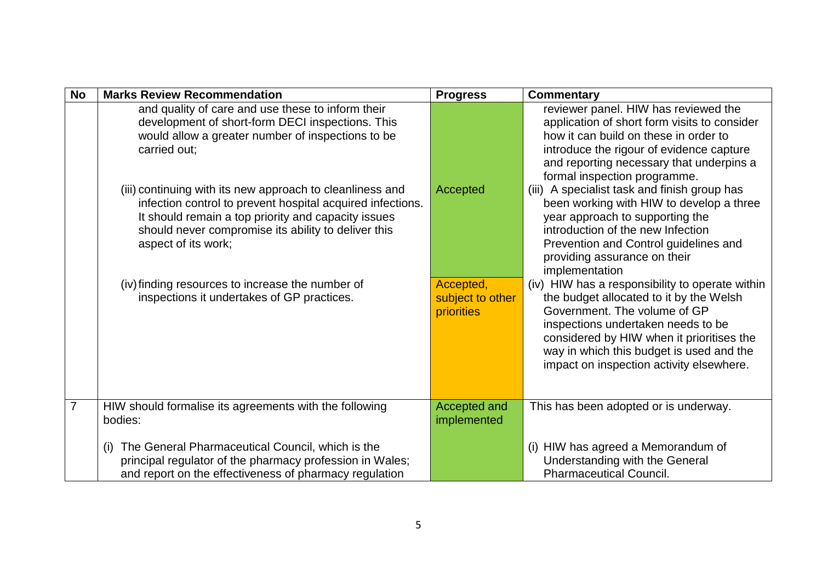| <b>No</b> | <b>Marks Review Recommendation</b>                                                                                                                                                                                                                           | <b>Progress</b>                                    | <b>Commentary</b>                                                                                                                                                                                                                                                                                     |
|-----------|--------------------------------------------------------------------------------------------------------------------------------------------------------------------------------------------------------------------------------------------------------------|----------------------------------------------------|-------------------------------------------------------------------------------------------------------------------------------------------------------------------------------------------------------------------------------------------------------------------------------------------------------|
|           | and quality of care and use these to inform their<br>development of short-form DECI inspections. This<br>would allow a greater number of inspections to be<br>carried out:                                                                                   |                                                    | reviewer panel. HIW has reviewed the<br>application of short form visits to consider<br>how it can build on these in order to<br>introduce the rigour of evidence capture<br>and reporting necessary that underpins a<br>formal inspection programme.                                                 |
|           | (iii) continuing with its new approach to cleanliness and<br>infection control to prevent hospital acquired infections.<br>It should remain a top priority and capacity issues<br>should never compromise its ability to deliver this<br>aspect of its work; | Accepted                                           | (iii) A specialist task and finish group has<br>been working with HIW to develop a three<br>year approach to supporting the<br>introduction of the new Infection<br>Prevention and Control guidelines and<br>providing assurance on their<br>implementation                                           |
|           | (iv) finding resources to increase the number of<br>inspections it undertakes of GP practices.                                                                                                                                                               | Accepted,<br>subject to other<br><b>priorities</b> | (iv) HIW has a responsibility to operate within<br>the budget allocated to it by the Welsh<br>Government. The volume of GP<br>inspections undertaken needs to be<br>considered by HIW when it prioritises the<br>way in which this budget is used and the<br>impact on inspection activity elsewhere. |
| 7         | HIW should formalise its agreements with the following<br>bodies:                                                                                                                                                                                            | Accepted and<br>implemented                        | This has been adopted or is underway.                                                                                                                                                                                                                                                                 |
|           | The General Pharmaceutical Council, which is the<br>(i)<br>principal regulator of the pharmacy profession in Wales;<br>and report on the effectiveness of pharmacy regulation                                                                                |                                                    | (i) HIW has agreed a Memorandum of<br>Understanding with the General<br><b>Pharmaceutical Council.</b>                                                                                                                                                                                                |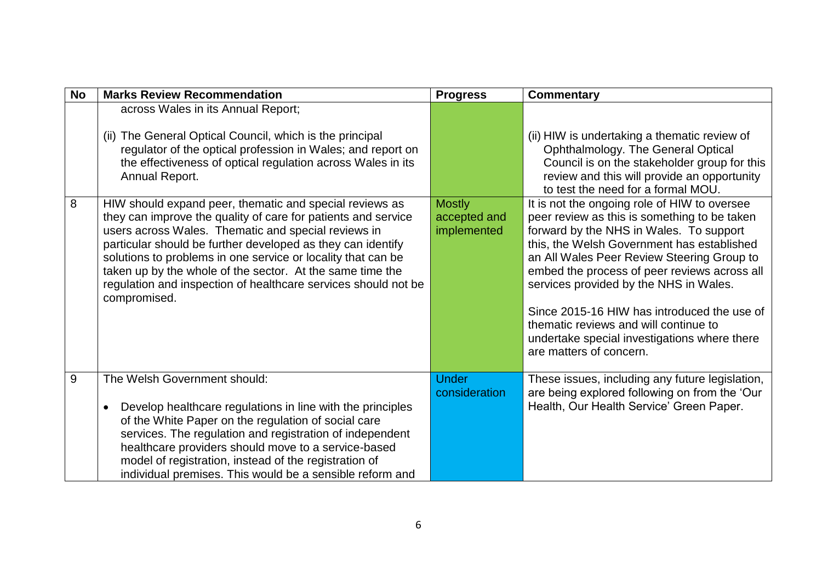| <b>No</b> | <b>Marks Review Recommendation</b>                                                                                                                                                                                                                                                                                                                                                                                                                            | <b>Progress</b>                              | <b>Commentary</b>                                                                                                                                                                                                                                                                                                                                                                                                                                                                                                                      |
|-----------|---------------------------------------------------------------------------------------------------------------------------------------------------------------------------------------------------------------------------------------------------------------------------------------------------------------------------------------------------------------------------------------------------------------------------------------------------------------|----------------------------------------------|----------------------------------------------------------------------------------------------------------------------------------------------------------------------------------------------------------------------------------------------------------------------------------------------------------------------------------------------------------------------------------------------------------------------------------------------------------------------------------------------------------------------------------------|
|           | across Wales in its Annual Report;<br>(ii) The General Optical Council, which is the principal<br>regulator of the optical profession in Wales; and report on<br>the effectiveness of optical regulation across Wales in its<br>Annual Report.                                                                                                                                                                                                                |                                              | (ii) HIW is undertaking a thematic review of<br>Ophthalmology. The General Optical<br>Council is on the stakeholder group for this<br>review and this will provide an opportunity                                                                                                                                                                                                                                                                                                                                                      |
| 8         | HIW should expand peer, thematic and special reviews as<br>they can improve the quality of care for patients and service<br>users across Wales. Thematic and special reviews in<br>particular should be further developed as they can identify<br>solutions to problems in one service or locality that can be<br>taken up by the whole of the sector. At the same time the<br>regulation and inspection of healthcare services should not be<br>compromised. | <b>Mostly</b><br>accepted and<br>implemented | to test the need for a formal MOU.<br>It is not the ongoing role of HIW to oversee<br>peer review as this is something to be taken<br>forward by the NHS in Wales. To support<br>this, the Welsh Government has established<br>an All Wales Peer Review Steering Group to<br>embed the process of peer reviews across all<br>services provided by the NHS in Wales.<br>Since 2015-16 HIW has introduced the use of<br>thematic reviews and will continue to<br>undertake special investigations where there<br>are matters of concern. |
| 9         | The Welsh Government should:<br>Develop healthcare regulations in line with the principles<br>$\bullet$<br>of the White Paper on the regulation of social care<br>services. The regulation and registration of independent<br>healthcare providers should move to a service-based<br>model of registration, instead of the registration of<br>individual premises. This would be a sensible reform and                                                        | <b>Under</b><br>consideration                | These issues, including any future legislation,<br>are being explored following on from the 'Our<br>Health, Our Health Service' Green Paper.                                                                                                                                                                                                                                                                                                                                                                                           |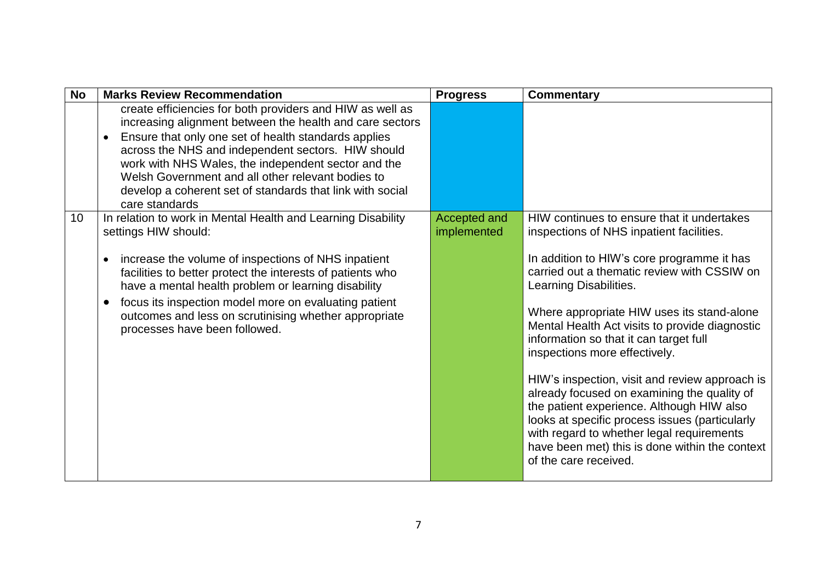| <b>No</b> | <b>Marks Review Recommendation</b>                                                                                                                                                                                                                                                                                                                                                                                                            | <b>Progress</b>             | <b>Commentary</b>                                                                                                                                                                                                                                                                                                                                                                                                                                                                                                                                                                                                                                                                                                |
|-----------|-----------------------------------------------------------------------------------------------------------------------------------------------------------------------------------------------------------------------------------------------------------------------------------------------------------------------------------------------------------------------------------------------------------------------------------------------|-----------------------------|------------------------------------------------------------------------------------------------------------------------------------------------------------------------------------------------------------------------------------------------------------------------------------------------------------------------------------------------------------------------------------------------------------------------------------------------------------------------------------------------------------------------------------------------------------------------------------------------------------------------------------------------------------------------------------------------------------------|
|           | create efficiencies for both providers and HIW as well as<br>increasing alignment between the health and care sectors<br>Ensure that only one set of health standards applies<br>$\bullet$<br>across the NHS and independent sectors. HIW should<br>work with NHS Wales, the independent sector and the<br>Welsh Government and all other relevant bodies to<br>develop a coherent set of standards that link with social<br>care standards   |                             |                                                                                                                                                                                                                                                                                                                                                                                                                                                                                                                                                                                                                                                                                                                  |
| 10        | In relation to work in Mental Health and Learning Disability<br>settings HIW should:<br>increase the volume of inspections of NHS inpatient<br>$\bullet$<br>facilities to better protect the interests of patients who<br>have a mental health problem or learning disability<br>focus its inspection model more on evaluating patient<br>$\bullet$<br>outcomes and less on scrutinising whether appropriate<br>processes have been followed. | Accepted and<br>implemented | HIW continues to ensure that it undertakes<br>inspections of NHS inpatient facilities.<br>In addition to HIW's core programme it has<br>carried out a thematic review with CSSIW on<br>Learning Disabilities.<br>Where appropriate HIW uses its stand-alone<br>Mental Health Act visits to provide diagnostic<br>information so that it can target full<br>inspections more effectively.<br>HIW's inspection, visit and review approach is<br>already focused on examining the quality of<br>the patient experience. Although HIW also<br>looks at specific process issues (particularly<br>with regard to whether legal requirements<br>have been met) this is done within the context<br>of the care received. |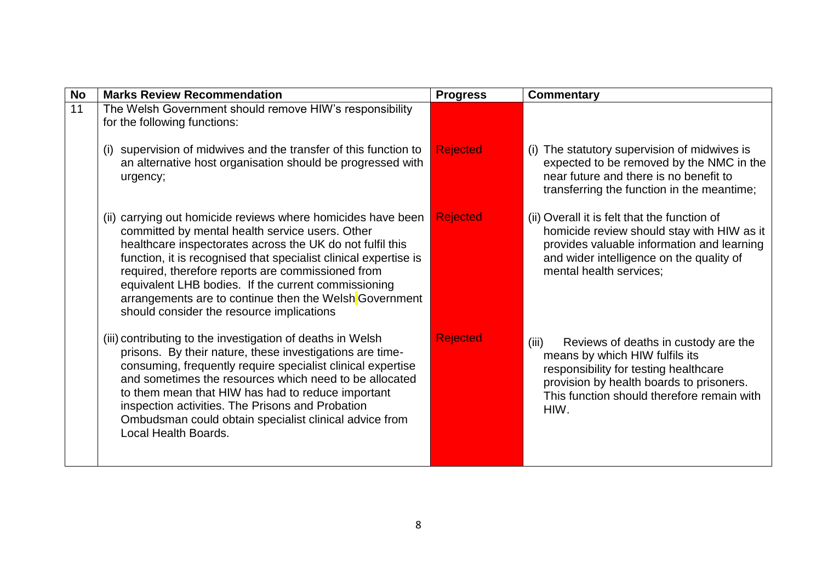| <b>No</b> | <b>Marks Review Recommendation</b>                                                                                                                                                                                                                                                                                                                                                                                                                                  | <b>Progress</b> | <b>Commentary</b>                                                                                                                                                                                                          |
|-----------|---------------------------------------------------------------------------------------------------------------------------------------------------------------------------------------------------------------------------------------------------------------------------------------------------------------------------------------------------------------------------------------------------------------------------------------------------------------------|-----------------|----------------------------------------------------------------------------------------------------------------------------------------------------------------------------------------------------------------------------|
| 11        | The Welsh Government should remove HIW's responsibility<br>for the following functions:                                                                                                                                                                                                                                                                                                                                                                             |                 |                                                                                                                                                                                                                            |
|           | supervision of midwives and the transfer of this function to<br>an alternative host organisation should be progressed with<br>urgency;                                                                                                                                                                                                                                                                                                                              | <b>Rejected</b> | (i) The statutory supervision of midwives is<br>expected to be removed by the NMC in the<br>near future and there is no benefit to<br>transferring the function in the meantime;                                           |
|           | (ii) carrying out homicide reviews where homicides have been<br>committed by mental health service users. Other<br>healthcare inspectorates across the UK do not fulfil this<br>function, it is recognised that specialist clinical expertise is<br>required, therefore reports are commissioned from<br>equivalent LHB bodies. If the current commissioning<br>arrangements are to continue then the Welsh Government<br>should consider the resource implications | <b>Rejected</b> | (ii) Overall it is felt that the function of<br>homicide review should stay with HIW as it<br>provides valuable information and learning<br>and wider intelligence on the quality of<br>mental health services;            |
|           | (iii) contributing to the investigation of deaths in Welsh<br>prisons. By their nature, these investigations are time-<br>consuming, frequently require specialist clinical expertise<br>and sometimes the resources which need to be allocated<br>to them mean that HIW has had to reduce important<br>inspection activities. The Prisons and Probation<br>Ombudsman could obtain specialist clinical advice from<br>Local Health Boards.                          | <b>Rejected</b> | (iii)<br>Reviews of deaths in custody are the<br>means by which HIW fulfils its<br>responsibility for testing healthcare<br>provision by health boards to prisoners.<br>This function should therefore remain with<br>HIW. |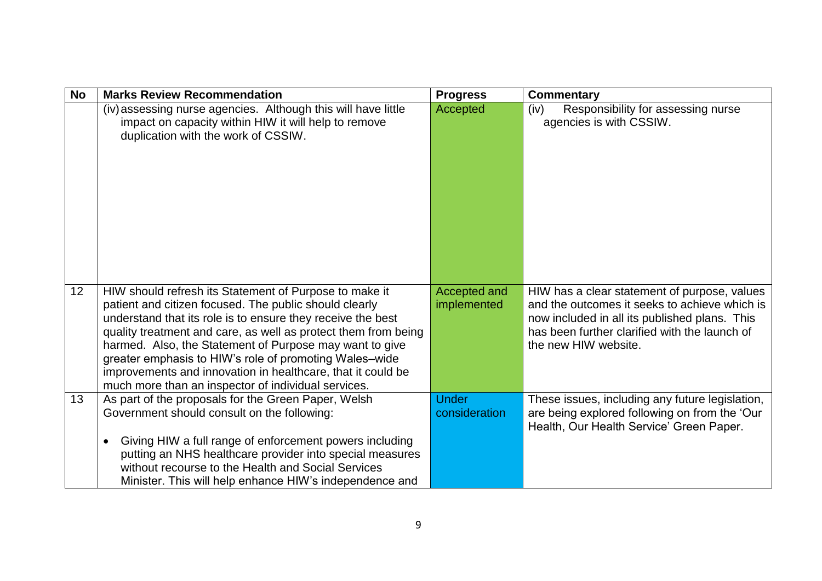| <b>No</b> | <b>Marks Review Recommendation</b>                                                                                                                                                                                                                                                                                                                                                                                                                                                           | <b>Progress</b>               | <b>Commentary</b>                                                                                                                                                                                                       |
|-----------|----------------------------------------------------------------------------------------------------------------------------------------------------------------------------------------------------------------------------------------------------------------------------------------------------------------------------------------------------------------------------------------------------------------------------------------------------------------------------------------------|-------------------------------|-------------------------------------------------------------------------------------------------------------------------------------------------------------------------------------------------------------------------|
|           | (iv) assessing nurse agencies. Although this will have little<br>impact on capacity within HIW it will help to remove<br>duplication with the work of CSSIW.                                                                                                                                                                                                                                                                                                                                 | Accepted                      | Responsibility for assessing nurse<br>(iv)<br>agencies is with CSSIW.                                                                                                                                                   |
| 12        | HIW should refresh its Statement of Purpose to make it<br>patient and citizen focused. The public should clearly<br>understand that its role is to ensure they receive the best<br>quality treatment and care, as well as protect them from being<br>harmed. Also, the Statement of Purpose may want to give<br>greater emphasis to HIW's role of promoting Wales-wide<br>improvements and innovation in healthcare, that it could be<br>much more than an inspector of individual services. | Accepted and<br>implemented   | HIW has a clear statement of purpose, values<br>and the outcomes it seeks to achieve which is<br>now included in all its published plans. This<br>has been further clarified with the launch of<br>the new HIW website. |
| 13        | As part of the proposals for the Green Paper, Welsh<br>Government should consult on the following:<br>Giving HIW a full range of enforcement powers including<br>$\bullet$<br>putting an NHS healthcare provider into special measures<br>without recourse to the Health and Social Services<br>Minister. This will help enhance HIW's independence and                                                                                                                                      | <b>Under</b><br>consideration | These issues, including any future legislation,<br>are being explored following on from the 'Our<br>Health, Our Health Service' Green Paper.                                                                            |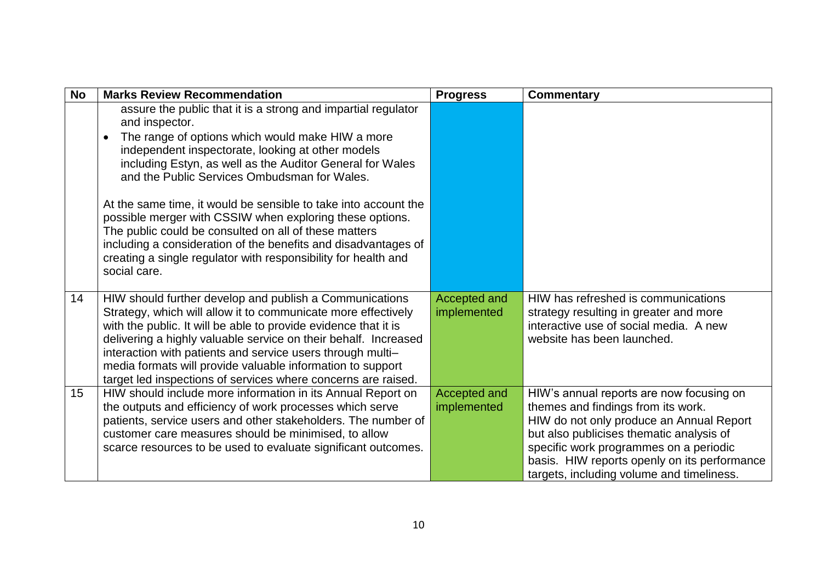| <b>No</b> | <b>Marks Review Recommendation</b>                                                                                                                                                                                                                                                                                                                                                                                                                                                                                                                                                                                                                             | <b>Progress</b>             | <b>Commentary</b>                                                                                                                                                                                                                                                                                             |
|-----------|----------------------------------------------------------------------------------------------------------------------------------------------------------------------------------------------------------------------------------------------------------------------------------------------------------------------------------------------------------------------------------------------------------------------------------------------------------------------------------------------------------------------------------------------------------------------------------------------------------------------------------------------------------------|-----------------------------|---------------------------------------------------------------------------------------------------------------------------------------------------------------------------------------------------------------------------------------------------------------------------------------------------------------|
|           | assure the public that it is a strong and impartial regulator<br>and inspector.<br>The range of options which would make HIW a more<br>$\bullet$<br>independent inspectorate, looking at other models<br>including Estyn, as well as the Auditor General for Wales<br>and the Public Services Ombudsman for Wales.<br>At the same time, it would be sensible to take into account the<br>possible merger with CSSIW when exploring these options.<br>The public could be consulted on all of these matters<br>including a consideration of the benefits and disadvantages of<br>creating a single regulator with responsibility for health and<br>social care. |                             |                                                                                                                                                                                                                                                                                                               |
| 14        | HIW should further develop and publish a Communications<br>Strategy, which will allow it to communicate more effectively<br>with the public. It will be able to provide evidence that it is<br>delivering a highly valuable service on their behalf. Increased<br>interaction with patients and service users through multi-<br>media formats will provide valuable information to support<br>target led inspections of services where concerns are raised.                                                                                                                                                                                                    | Accepted and<br>implemented | HIW has refreshed is communications<br>strategy resulting in greater and more<br>interactive use of social media. A new<br>website has been launched.                                                                                                                                                         |
| 15        | HIW should include more information in its Annual Report on<br>the outputs and efficiency of work processes which serve<br>patients, service users and other stakeholders. The number of<br>customer care measures should be minimised, to allow<br>scarce resources to be used to evaluate significant outcomes.                                                                                                                                                                                                                                                                                                                                              | Accepted and<br>implemented | HIW's annual reports are now focusing on<br>themes and findings from its work.<br>HIW do not only produce an Annual Report<br>but also publicises thematic analysis of<br>specific work programmes on a periodic<br>basis. HIW reports openly on its performance<br>targets, including volume and timeliness. |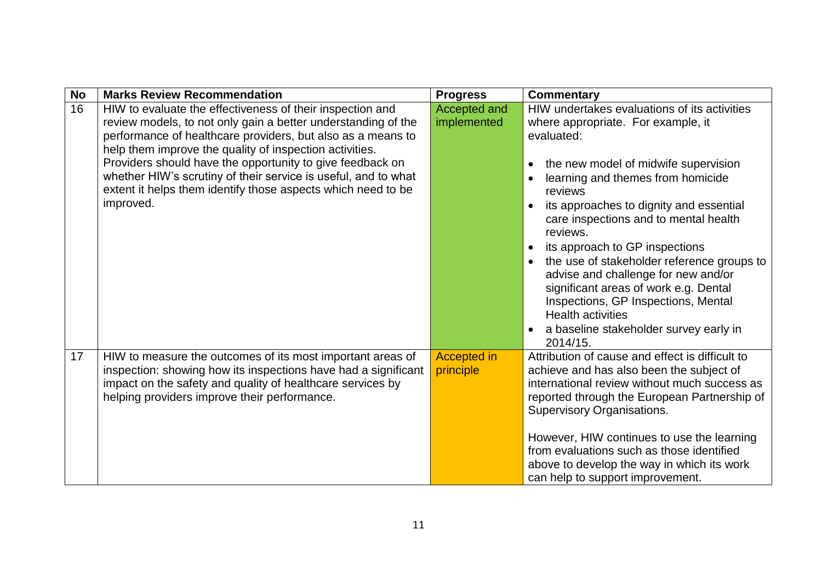| <b>No</b> | <b>Marks Review Recommendation</b>                             | <b>Progress</b>    | <b>Commentary</b>                                    |
|-----------|----------------------------------------------------------------|--------------------|------------------------------------------------------|
| 16        | HIW to evaluate the effectiveness of their inspection and      | Accepted and       | HIW undertakes evaluations of its activities         |
|           | review models, to not only gain a better understanding of the  | implemented        | where appropriate. For example, it                   |
|           | performance of healthcare providers, but also as a means to    |                    | evaluated:                                           |
|           | help them improve the quality of inspection activities.        |                    |                                                      |
|           | Providers should have the opportunity to give feedback on      |                    | the new model of midwife supervision<br>$\bullet$    |
|           | whether HIW's scrutiny of their service is useful, and to what |                    | learning and themes from homicide                    |
|           | extent it helps them identify those aspects which need to be   |                    | reviews                                              |
|           | improved.                                                      |                    | its approaches to dignity and essential<br>$\bullet$ |
|           |                                                                |                    | care inspections and to mental health                |
|           |                                                                |                    | reviews.                                             |
|           |                                                                |                    | its approach to GP inspections                       |
|           |                                                                |                    | the use of stakeholder reference groups to           |
|           |                                                                |                    | advise and challenge for new and/or                  |
|           |                                                                |                    | significant areas of work e.g. Dental                |
|           |                                                                |                    | Inspections, GP Inspections, Mental                  |
|           |                                                                |                    | <b>Health activities</b>                             |
|           |                                                                |                    | a baseline stakeholder survey early in               |
|           |                                                                |                    | 2014/15.                                             |
| 17        | HIW to measure the outcomes of its most important areas of     | <b>Accepted in</b> | Attribution of cause and effect is difficult to      |
|           | inspection: showing how its inspections have had a significant | principle          | achieve and has also been the subject of             |
|           | impact on the safety and quality of healthcare services by     |                    | international review without much success as         |
|           | helping providers improve their performance.                   |                    | reported through the European Partnership of         |
|           |                                                                |                    | <b>Supervisory Organisations.</b>                    |
|           |                                                                |                    |                                                      |
|           |                                                                |                    | However, HIW continues to use the learning           |
|           |                                                                |                    | from evaluations such as those identified            |
|           |                                                                |                    | above to develop the way in which its work           |
|           |                                                                |                    | can help to support improvement.                     |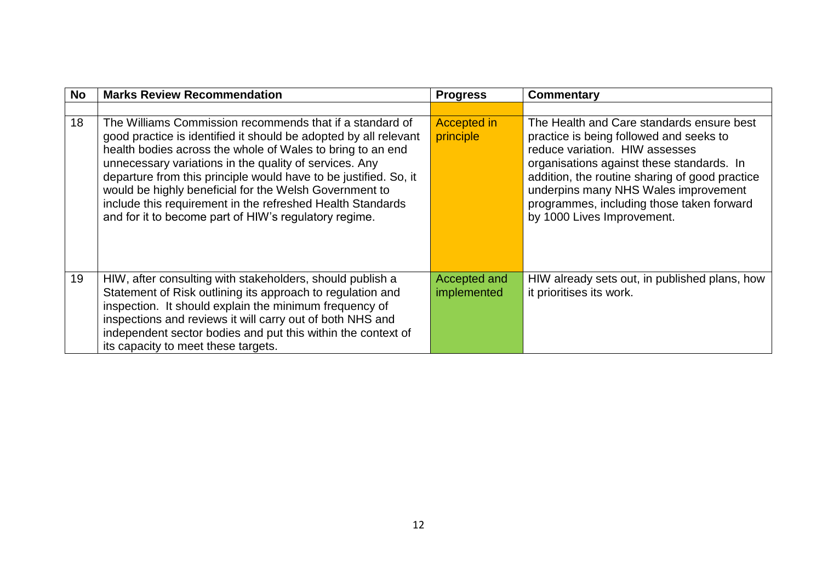| No | <b>Marks Review Recommendation</b>                                                                                                                                                                                                                                                                                                                                                                                                                                                                        | <b>Progress</b>                 | Commentary                                                                                                                                                                                                                                                                                                                               |
|----|-----------------------------------------------------------------------------------------------------------------------------------------------------------------------------------------------------------------------------------------------------------------------------------------------------------------------------------------------------------------------------------------------------------------------------------------------------------------------------------------------------------|---------------------------------|------------------------------------------------------------------------------------------------------------------------------------------------------------------------------------------------------------------------------------------------------------------------------------------------------------------------------------------|
|    |                                                                                                                                                                                                                                                                                                                                                                                                                                                                                                           |                                 |                                                                                                                                                                                                                                                                                                                                          |
| 18 | The Williams Commission recommends that if a standard of<br>good practice is identified it should be adopted by all relevant<br>health bodies across the whole of Wales to bring to an end<br>unnecessary variations in the quality of services. Any<br>departure from this principle would have to be justified. So, it<br>would be highly beneficial for the Welsh Government to<br>include this requirement in the refreshed Health Standards<br>and for it to become part of HIW's regulatory regime. | <b>Accepted in</b><br>principle | The Health and Care standards ensure best<br>practice is being followed and seeks to<br>reduce variation. HIW assesses<br>organisations against these standards. In<br>addition, the routine sharing of good practice<br>underpins many NHS Wales improvement<br>programmes, including those taken forward<br>by 1000 Lives Improvement. |
| 19 | HIW, after consulting with stakeholders, should publish a<br>Statement of Risk outlining its approach to regulation and<br>inspection. It should explain the minimum frequency of<br>inspections and reviews it will carry out of both NHS and<br>independent sector bodies and put this within the context of<br>its capacity to meet these targets.                                                                                                                                                     | Accepted and<br>implemented     | HIW already sets out, in published plans, how<br>it prioritises its work.                                                                                                                                                                                                                                                                |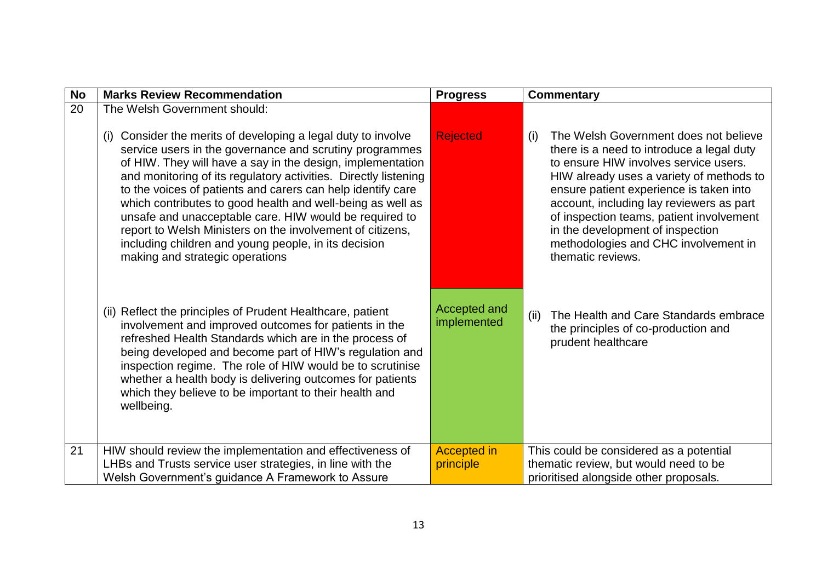| <b>No</b> | <b>Marks Review Recommendation</b>                                                                                                                                                                                                                                                                                                                                                                                                                                                                                                                                                                          | <b>Progress</b>             | <b>Commentary</b>                                                                                                                                                                                                                                                                                                                                                                                                  |
|-----------|-------------------------------------------------------------------------------------------------------------------------------------------------------------------------------------------------------------------------------------------------------------------------------------------------------------------------------------------------------------------------------------------------------------------------------------------------------------------------------------------------------------------------------------------------------------------------------------------------------------|-----------------------------|--------------------------------------------------------------------------------------------------------------------------------------------------------------------------------------------------------------------------------------------------------------------------------------------------------------------------------------------------------------------------------------------------------------------|
| 20        | The Welsh Government should:                                                                                                                                                                                                                                                                                                                                                                                                                                                                                                                                                                                |                             |                                                                                                                                                                                                                                                                                                                                                                                                                    |
|           | Consider the merits of developing a legal duty to involve<br>(i)<br>service users in the governance and scrutiny programmes<br>of HIW. They will have a say in the design, implementation<br>and monitoring of its regulatory activities. Directly listening<br>to the voices of patients and carers can help identify care<br>which contributes to good health and well-being as well as<br>unsafe and unacceptable care. HIW would be required to<br>report to Welsh Ministers on the involvement of citizens,<br>including children and young people, in its decision<br>making and strategic operations | <b>Rejected</b>             | The Welsh Government does not believe<br>(i)<br>there is a need to introduce a legal duty<br>to ensure HIW involves service users.<br>HIW already uses a variety of methods to<br>ensure patient experience is taken into<br>account, including lay reviewers as part<br>of inspection teams, patient involvement<br>in the development of inspection<br>methodologies and CHC involvement in<br>thematic reviews. |
|           | (ii) Reflect the principles of Prudent Healthcare, patient<br>involvement and improved outcomes for patients in the<br>refreshed Health Standards which are in the process of<br>being developed and become part of HIW's regulation and<br>inspection regime. The role of HIW would be to scrutinise<br>whether a health body is delivering outcomes for patients<br>which they believe to be important to their health and<br>wellbeing.                                                                                                                                                                  | Accepted and<br>implemented | (ii)<br>The Health and Care Standards embrace<br>the principles of co-production and<br>prudent healthcare                                                                                                                                                                                                                                                                                                         |
| 21        | HIW should review the implementation and effectiveness of                                                                                                                                                                                                                                                                                                                                                                                                                                                                                                                                                   | <b>Accepted in</b>          | This could be considered as a potential                                                                                                                                                                                                                                                                                                                                                                            |
|           | LHBs and Trusts service user strategies, in line with the<br>Welsh Government's guidance A Framework to Assure                                                                                                                                                                                                                                                                                                                                                                                                                                                                                              | principle                   | thematic review, but would need to be<br>prioritised alongside other proposals.                                                                                                                                                                                                                                                                                                                                    |
|           |                                                                                                                                                                                                                                                                                                                                                                                                                                                                                                                                                                                                             |                             |                                                                                                                                                                                                                                                                                                                                                                                                                    |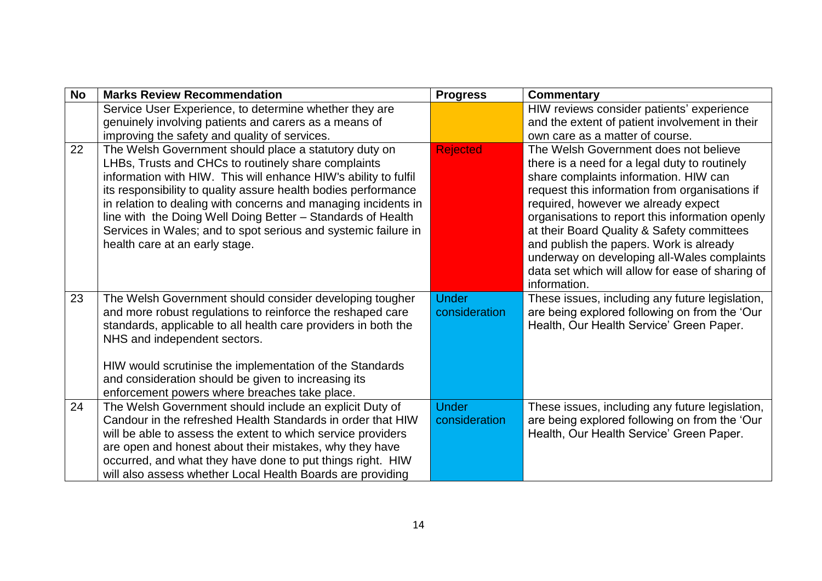| <b>No</b> | <b>Marks Review Recommendation</b>                                                                                                                                                                                                                                                                                                                                                                                                                                                     | <b>Progress</b> | <b>Commentary</b>                                                                                                                                                                                                                                                                                                                                                                                                                                                       |
|-----------|----------------------------------------------------------------------------------------------------------------------------------------------------------------------------------------------------------------------------------------------------------------------------------------------------------------------------------------------------------------------------------------------------------------------------------------------------------------------------------------|-----------------|-------------------------------------------------------------------------------------------------------------------------------------------------------------------------------------------------------------------------------------------------------------------------------------------------------------------------------------------------------------------------------------------------------------------------------------------------------------------------|
|           | Service User Experience, to determine whether they are                                                                                                                                                                                                                                                                                                                                                                                                                                 |                 | HIW reviews consider patients' experience                                                                                                                                                                                                                                                                                                                                                                                                                               |
|           | genuinely involving patients and carers as a means of                                                                                                                                                                                                                                                                                                                                                                                                                                  |                 | and the extent of patient involvement in their                                                                                                                                                                                                                                                                                                                                                                                                                          |
|           | improving the safety and quality of services.                                                                                                                                                                                                                                                                                                                                                                                                                                          |                 | own care as a matter of course.                                                                                                                                                                                                                                                                                                                                                                                                                                         |
| 22        | The Welsh Government should place a statutory duty on<br>LHBs, Trusts and CHCs to routinely share complaints<br>information with HIW. This will enhance HIW's ability to fulfil<br>its responsibility to quality assure health bodies performance<br>in relation to dealing with concerns and managing incidents in<br>line with the Doing Well Doing Better - Standards of Health<br>Services in Wales; and to spot serious and systemic failure in<br>health care at an early stage. | <b>Rejected</b> | The Welsh Government does not believe<br>there is a need for a legal duty to routinely<br>share complaints information. HIW can<br>request this information from organisations if<br>required, however we already expect<br>organisations to report this information openly<br>at their Board Quality & Safety committees<br>and publish the papers. Work is already<br>underway on developing all-Wales complaints<br>data set which will allow for ease of sharing of |
| 23        | The Welsh Government should consider developing tougher                                                                                                                                                                                                                                                                                                                                                                                                                                | <b>Under</b>    | information.<br>These issues, including any future legislation,                                                                                                                                                                                                                                                                                                                                                                                                         |
|           | and more robust regulations to reinforce the reshaped care<br>standards, applicable to all health care providers in both the<br>NHS and independent sectors.                                                                                                                                                                                                                                                                                                                           | consideration   | are being explored following on from the 'Our<br>Health, Our Health Service' Green Paper.                                                                                                                                                                                                                                                                                                                                                                               |
|           | HIW would scrutinise the implementation of the Standards<br>and consideration should be given to increasing its<br>enforcement powers where breaches take place.                                                                                                                                                                                                                                                                                                                       |                 |                                                                                                                                                                                                                                                                                                                                                                                                                                                                         |
| 24        | The Welsh Government should include an explicit Duty of                                                                                                                                                                                                                                                                                                                                                                                                                                | <b>Under</b>    | These issues, including any future legislation,                                                                                                                                                                                                                                                                                                                                                                                                                         |
|           | Candour in the refreshed Health Standards in order that HIW<br>will be able to assess the extent to which service providers<br>are open and honest about their mistakes, why they have<br>occurred, and what they have done to put things right. HIW<br>will also assess whether Local Health Boards are providing                                                                                                                                                                     | consideration   | are being explored following on from the 'Our<br>Health, Our Health Service' Green Paper.                                                                                                                                                                                                                                                                                                                                                                               |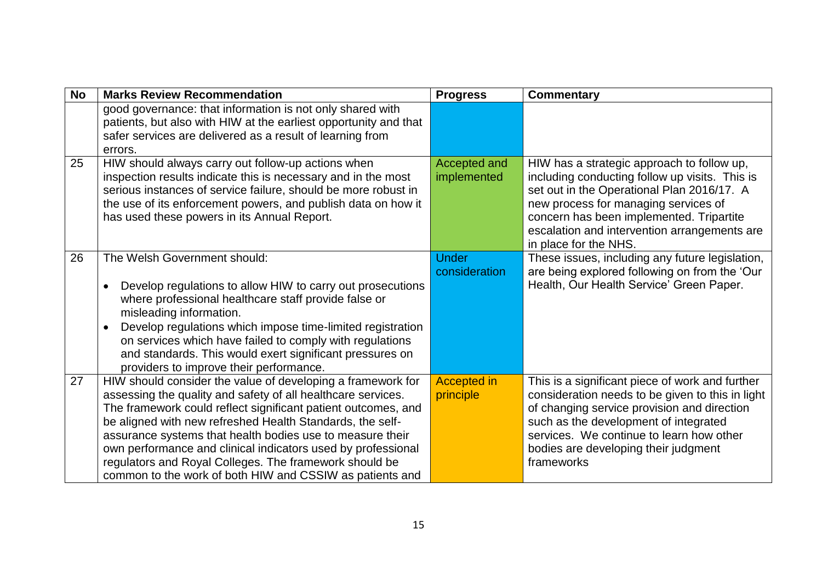| <b>No</b> | <b>Marks Review Recommendation</b>                                                                                                                                                                                                                                                                                                                                                                                                                                                                           | <b>Progress</b>                 | <b>Commentary</b>                                                                                                                                                                                                                                                                                       |
|-----------|--------------------------------------------------------------------------------------------------------------------------------------------------------------------------------------------------------------------------------------------------------------------------------------------------------------------------------------------------------------------------------------------------------------------------------------------------------------------------------------------------------------|---------------------------------|---------------------------------------------------------------------------------------------------------------------------------------------------------------------------------------------------------------------------------------------------------------------------------------------------------|
|           | good governance: that information is not only shared with<br>patients, but also with HIW at the earliest opportunity and that<br>safer services are delivered as a result of learning from<br>errors.                                                                                                                                                                                                                                                                                                        |                                 |                                                                                                                                                                                                                                                                                                         |
| 25        | HIW should always carry out follow-up actions when<br>inspection results indicate this is necessary and in the most<br>serious instances of service failure, should be more robust in<br>the use of its enforcement powers, and publish data on how it<br>has used these powers in its Annual Report.                                                                                                                                                                                                        | Accepted and<br>implemented     | HIW has a strategic approach to follow up,<br>including conducting follow up visits. This is<br>set out in the Operational Plan 2016/17. A<br>new process for managing services of<br>concern has been implemented. Tripartite<br>escalation and intervention arrangements are<br>in place for the NHS. |
| 26        | The Welsh Government should:<br>Develop regulations to allow HIW to carry out prosecutions<br>$\bullet$<br>where professional healthcare staff provide false or<br>misleading information.<br>Develop regulations which impose time-limited registration<br>$\bullet$<br>on services which have failed to comply with regulations<br>and standards. This would exert significant pressures on<br>providers to improve their performance.                                                                     | <b>Under</b><br>consideration   | These issues, including any future legislation,<br>are being explored following on from the 'Our<br>Health, Our Health Service' Green Paper.                                                                                                                                                            |
| 27        | HIW should consider the value of developing a framework for<br>assessing the quality and safety of all healthcare services.<br>The framework could reflect significant patient outcomes, and<br>be aligned with new refreshed Health Standards, the self-<br>assurance systems that health bodies use to measure their<br>own performance and clinical indicators used by professional<br>regulators and Royal Colleges. The framework should be<br>common to the work of both HIW and CSSIW as patients and | <b>Accepted in</b><br>principle | This is a significant piece of work and further<br>consideration needs to be given to this in light<br>of changing service provision and direction<br>such as the development of integrated<br>services. We continue to learn how other<br>bodies are developing their judgment<br>frameworks           |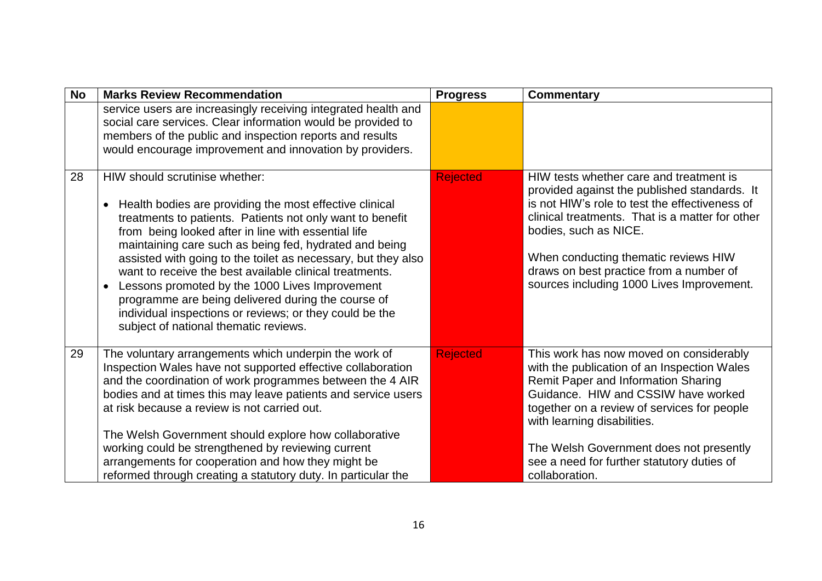| <b>No</b> | <b>Marks Review Recommendation</b>                                                                                                                                                                                                                                                                                                                                                                                                                                                                                                                                                                                                        | <b>Progress</b> | Commentary                                                                                                                                                                                                                                                                                                                                                    |
|-----------|-------------------------------------------------------------------------------------------------------------------------------------------------------------------------------------------------------------------------------------------------------------------------------------------------------------------------------------------------------------------------------------------------------------------------------------------------------------------------------------------------------------------------------------------------------------------------------------------------------------------------------------------|-----------------|---------------------------------------------------------------------------------------------------------------------------------------------------------------------------------------------------------------------------------------------------------------------------------------------------------------------------------------------------------------|
|           | service users are increasingly receiving integrated health and<br>social care services. Clear information would be provided to<br>members of the public and inspection reports and results<br>would encourage improvement and innovation by providers.                                                                                                                                                                                                                                                                                                                                                                                    |                 |                                                                                                                                                                                                                                                                                                                                                               |
| 28        | HIW should scrutinise whether:<br>Health bodies are providing the most effective clinical<br>$\bullet$<br>treatments to patients. Patients not only want to benefit<br>from being looked after in line with essential life<br>maintaining care such as being fed, hydrated and being<br>assisted with going to the toilet as necessary, but they also<br>want to receive the best available clinical treatments.<br>Lessons promoted by the 1000 Lives Improvement<br>$\bullet$<br>programme are being delivered during the course of<br>individual inspections or reviews; or they could be the<br>subject of national thematic reviews. | <b>Rejected</b> | HIW tests whether care and treatment is<br>provided against the published standards. It<br>is not HIW's role to test the effectiveness of<br>clinical treatments. That is a matter for other<br>bodies, such as NICE.<br>When conducting thematic reviews HIW<br>draws on best practice from a number of<br>sources including 1000 Lives Improvement.         |
| 29        | The voluntary arrangements which underpin the work of<br>Inspection Wales have not supported effective collaboration<br>and the coordination of work programmes between the 4 AIR<br>bodies and at times this may leave patients and service users<br>at risk because a review is not carried out.<br>The Welsh Government should explore how collaborative<br>working could be strengthened by reviewing current<br>arrangements for cooperation and how they might be<br>reformed through creating a statutory duty. In particular the                                                                                                  | <b>Rejected</b> | This work has now moved on considerably<br>with the publication of an Inspection Wales<br>Remit Paper and Information Sharing<br>Guidance. HIW and CSSIW have worked<br>together on a review of services for people<br>with learning disabilities.<br>The Welsh Government does not presently<br>see a need for further statutory duties of<br>collaboration. |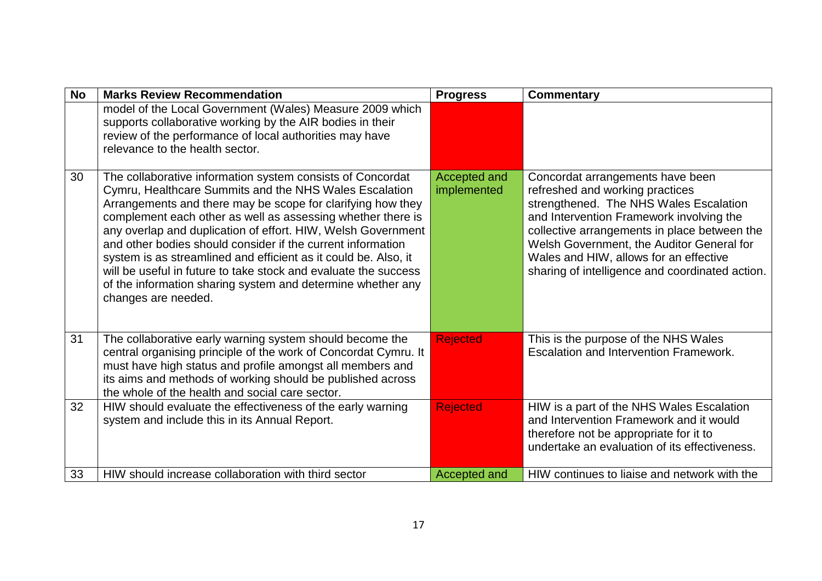| <b>No</b> | <b>Marks Review Recommendation</b>                                                                                                                                                                                                                                                                                                                                                                                                                                                                                                                                                                            | <b>Progress</b>             | Commentary                                                                                                                                                                                                                                                                                                                                          |
|-----------|---------------------------------------------------------------------------------------------------------------------------------------------------------------------------------------------------------------------------------------------------------------------------------------------------------------------------------------------------------------------------------------------------------------------------------------------------------------------------------------------------------------------------------------------------------------------------------------------------------------|-----------------------------|-----------------------------------------------------------------------------------------------------------------------------------------------------------------------------------------------------------------------------------------------------------------------------------------------------------------------------------------------------|
|           | model of the Local Government (Wales) Measure 2009 which<br>supports collaborative working by the AIR bodies in their<br>review of the performance of local authorities may have<br>relevance to the health sector.                                                                                                                                                                                                                                                                                                                                                                                           |                             |                                                                                                                                                                                                                                                                                                                                                     |
| 30        | The collaborative information system consists of Concordat<br>Cymru, Healthcare Summits and the NHS Wales Escalation<br>Arrangements and there may be scope for clarifying how they<br>complement each other as well as assessing whether there is<br>any overlap and duplication of effort. HIW, Welsh Government<br>and other bodies should consider if the current information<br>system is as streamlined and efficient as it could be. Also, it<br>will be useful in future to take stock and evaluate the success<br>of the information sharing system and determine whether any<br>changes are needed. | Accepted and<br>implemented | Concordat arrangements have been<br>refreshed and working practices<br>strengthened. The NHS Wales Escalation<br>and Intervention Framework involving the<br>collective arrangements in place between the<br>Welsh Government, the Auditor General for<br>Wales and HIW, allows for an effective<br>sharing of intelligence and coordinated action. |
| 31        | The collaborative early warning system should become the<br>central organising principle of the work of Concordat Cymru. It<br>must have high status and profile amongst all members and<br>its aims and methods of working should be published across<br>the whole of the health and social care sector.                                                                                                                                                                                                                                                                                                     | <b>Rejected</b>             | This is the purpose of the NHS Wales<br><b>Escalation and Intervention Framework.</b>                                                                                                                                                                                                                                                               |
| 32        | HIW should evaluate the effectiveness of the early warning<br>system and include this in its Annual Report.                                                                                                                                                                                                                                                                                                                                                                                                                                                                                                   | <b>Rejected</b>             | HIW is a part of the NHS Wales Escalation<br>and Intervention Framework and it would<br>therefore not be appropriate for it to<br>undertake an evaluation of its effectiveness.                                                                                                                                                                     |
| 33        | HIW should increase collaboration with third sector                                                                                                                                                                                                                                                                                                                                                                                                                                                                                                                                                           | Accepted and                | HIW continues to liaise and network with the                                                                                                                                                                                                                                                                                                        |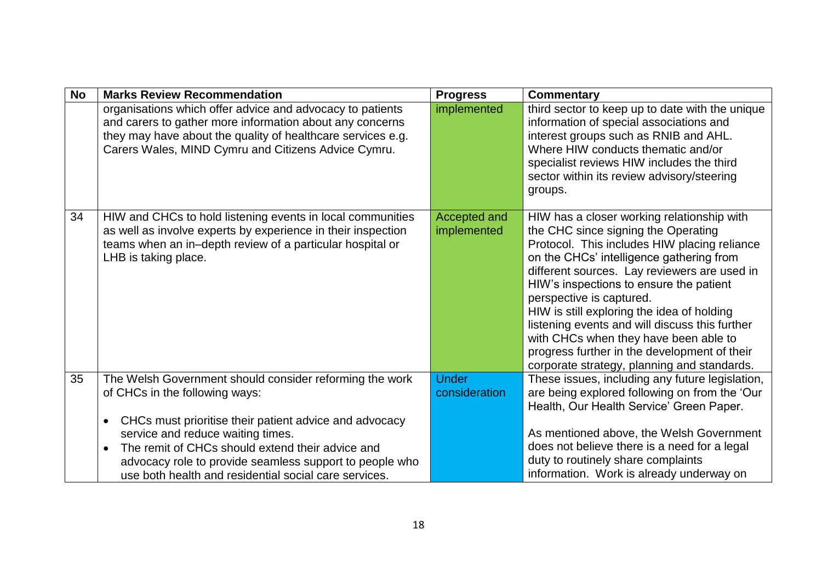| <b>No</b> | <b>Marks Review Recommendation</b>                                                                                                                                                                                                                                                                                                                                                         | <b>Progress</b>               | <b>Commentary</b>                                                                                                                                                                                                                                                                                                                                                                                                                                                                                                                            |
|-----------|--------------------------------------------------------------------------------------------------------------------------------------------------------------------------------------------------------------------------------------------------------------------------------------------------------------------------------------------------------------------------------------------|-------------------------------|----------------------------------------------------------------------------------------------------------------------------------------------------------------------------------------------------------------------------------------------------------------------------------------------------------------------------------------------------------------------------------------------------------------------------------------------------------------------------------------------------------------------------------------------|
|           | organisations which offer advice and advocacy to patients<br>and carers to gather more information about any concerns<br>they may have about the quality of healthcare services e.g.<br>Carers Wales, MIND Cymru and Citizens Advice Cymru.                                                                                                                                                | implemented                   | third sector to keep up to date with the unique<br>information of special associations and<br>interest groups such as RNIB and AHL.<br>Where HIW conducts thematic and/or<br>specialist reviews HIW includes the third<br>sector within its review advisory/steering<br>groups.                                                                                                                                                                                                                                                              |
| 34        | HIW and CHCs to hold listening events in local communities<br>as well as involve experts by experience in their inspection<br>teams when an in-depth review of a particular hospital or<br>LHB is taking place.                                                                                                                                                                            | Accepted and<br>implemented   | HIW has a closer working relationship with<br>the CHC since signing the Operating<br>Protocol. This includes HIW placing reliance<br>on the CHCs' intelligence gathering from<br>different sources. Lay reviewers are used in<br>HIW's inspections to ensure the patient<br>perspective is captured.<br>HIW is still exploring the idea of holding<br>listening events and will discuss this further<br>with CHCs when they have been able to<br>progress further in the development of their<br>corporate strategy, planning and standards. |
| 35        | The Welsh Government should consider reforming the work<br>of CHCs in the following ways:<br>CHCs must prioritise their patient advice and advocacy<br>$\bullet$<br>service and reduce waiting times.<br>The remit of CHCs should extend their advice and<br>$\bullet$<br>advocacy role to provide seamless support to people who<br>use both health and residential social care services. | <b>Under</b><br>consideration | These issues, including any future legislation,<br>are being explored following on from the 'Our<br>Health, Our Health Service' Green Paper.<br>As mentioned above, the Welsh Government<br>does not believe there is a need for a legal<br>duty to routinely share complaints<br>information. Work is already underway on                                                                                                                                                                                                                   |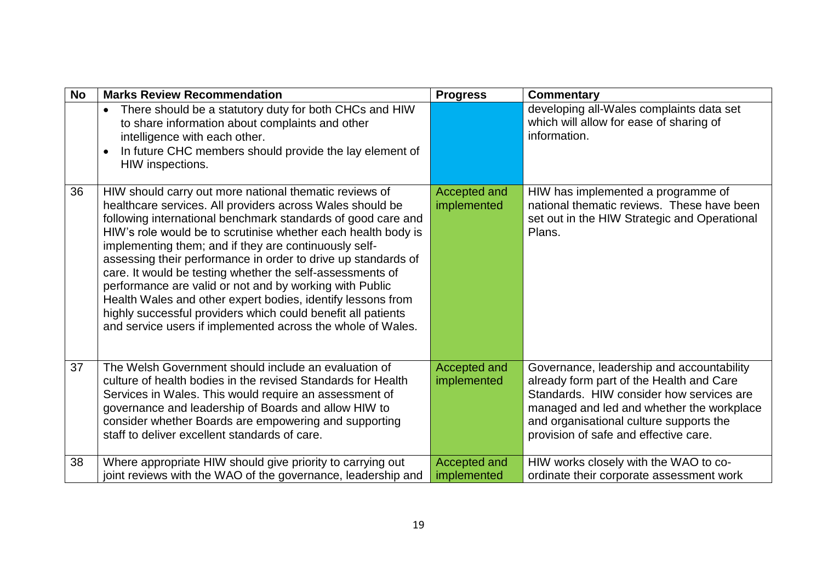| <b>No</b> | <b>Marks Review Recommendation</b>                                                                                                                                                                                                                                                                                                                                                                                                                                                                                                                                                                                                                                                                   | <b>Progress</b>                    | Commentary                                                                                                                                                                                                                                                         |
|-----------|------------------------------------------------------------------------------------------------------------------------------------------------------------------------------------------------------------------------------------------------------------------------------------------------------------------------------------------------------------------------------------------------------------------------------------------------------------------------------------------------------------------------------------------------------------------------------------------------------------------------------------------------------------------------------------------------------|------------------------------------|--------------------------------------------------------------------------------------------------------------------------------------------------------------------------------------------------------------------------------------------------------------------|
|           | There should be a statutory duty for both CHCs and HIW<br>$\bullet$<br>to share information about complaints and other<br>intelligence with each other.<br>In future CHC members should provide the lay element of<br>$\bullet$<br>HIW inspections.                                                                                                                                                                                                                                                                                                                                                                                                                                                  |                                    | developing all-Wales complaints data set<br>which will allow for ease of sharing of<br>information.                                                                                                                                                                |
| 36        | HIW should carry out more national thematic reviews of<br>healthcare services. All providers across Wales should be<br>following international benchmark standards of good care and<br>HIW's role would be to scrutinise whether each health body is<br>implementing them; and if they are continuously self-<br>assessing their performance in order to drive up standards of<br>care. It would be testing whether the self-assessments of<br>performance are valid or not and by working with Public<br>Health Wales and other expert bodies, identify lessons from<br>highly successful providers which could benefit all patients<br>and service users if implemented across the whole of Wales. | Accepted and<br>implemented        | HIW has implemented a programme of<br>national thematic reviews. These have been<br>set out in the HIW Strategic and Operational<br>Plans.                                                                                                                         |
| 37        | The Welsh Government should include an evaluation of<br>culture of health bodies in the revised Standards for Health<br>Services in Wales. This would require an assessment of<br>governance and leadership of Boards and allow HIW to<br>consider whether Boards are empowering and supporting<br>staff to deliver excellent standards of care.                                                                                                                                                                                                                                                                                                                                                     | <b>Accepted and</b><br>implemented | Governance, leadership and accountability<br>already form part of the Health and Care<br>Standards. HIW consider how services are<br>managed and led and whether the workplace<br>and organisational culture supports the<br>provision of safe and effective care. |
| 38        | Where appropriate HIW should give priority to carrying out<br>joint reviews with the WAO of the governance, leadership and                                                                                                                                                                                                                                                                                                                                                                                                                                                                                                                                                                           | <b>Accepted and</b><br>implemented | HIW works closely with the WAO to co-<br>ordinate their corporate assessment work                                                                                                                                                                                  |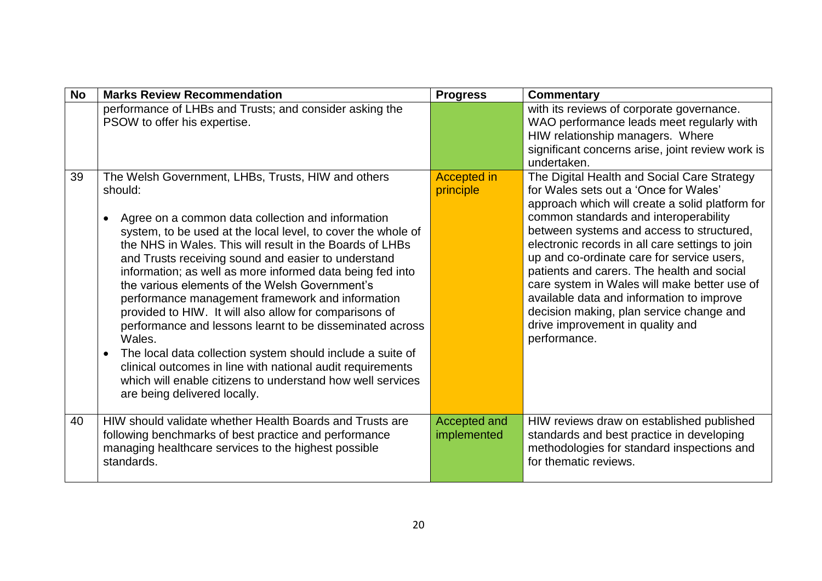| <b>No</b> | <b>Marks Review Recommendation</b>                                                                                                                                                                                                                                                                                                                                                                                                                                                                                                                                                                                                                                                                                                                                                                                                                           | <b>Progress</b>                    | <b>Commentary</b>                                                                                                                                                                                                                                                                                                                                                                                                                                                                                                                                                         |
|-----------|--------------------------------------------------------------------------------------------------------------------------------------------------------------------------------------------------------------------------------------------------------------------------------------------------------------------------------------------------------------------------------------------------------------------------------------------------------------------------------------------------------------------------------------------------------------------------------------------------------------------------------------------------------------------------------------------------------------------------------------------------------------------------------------------------------------------------------------------------------------|------------------------------------|---------------------------------------------------------------------------------------------------------------------------------------------------------------------------------------------------------------------------------------------------------------------------------------------------------------------------------------------------------------------------------------------------------------------------------------------------------------------------------------------------------------------------------------------------------------------------|
|           | performance of LHBs and Trusts; and consider asking the<br>PSOW to offer his expertise.                                                                                                                                                                                                                                                                                                                                                                                                                                                                                                                                                                                                                                                                                                                                                                      |                                    | with its reviews of corporate governance.<br>WAO performance leads meet regularly with<br>HIW relationship managers. Where<br>significant concerns arise, joint review work is<br>undertaken.                                                                                                                                                                                                                                                                                                                                                                             |
| 39        | The Welsh Government, LHBs, Trusts, HIW and others<br>should:<br>Agree on a common data collection and information<br>$\bullet$<br>system, to be used at the local level, to cover the whole of<br>the NHS in Wales. This will result in the Boards of LHBs<br>and Trusts receiving sound and easier to understand<br>information; as well as more informed data being fed into<br>the various elements of the Welsh Government's<br>performance management framework and information<br>provided to HIW. It will also allow for comparisons of<br>performance and lessons learnt to be disseminated across<br>Wales.<br>The local data collection system should include a suite of<br>$\bullet$<br>clinical outcomes in line with national audit requirements<br>which will enable citizens to understand how well services<br>are being delivered locally. | <b>Accepted in</b><br>principle    | The Digital Health and Social Care Strategy<br>for Wales sets out a 'Once for Wales'<br>approach which will create a solid platform for<br>common standards and interoperability<br>between systems and access to structured,<br>electronic records in all care settings to join<br>up and co-ordinate care for service users,<br>patients and carers. The health and social<br>care system in Wales will make better use of<br>available data and information to improve<br>decision making, plan service change and<br>drive improvement in quality and<br>performance. |
| 40        | HIW should validate whether Health Boards and Trusts are<br>following benchmarks of best practice and performance<br>managing healthcare services to the highest possible<br>standards.                                                                                                                                                                                                                                                                                                                                                                                                                                                                                                                                                                                                                                                                      | <b>Accepted and</b><br>implemented | HIW reviews draw on established published<br>standards and best practice in developing<br>methodologies for standard inspections and<br>for thematic reviews.                                                                                                                                                                                                                                                                                                                                                                                                             |